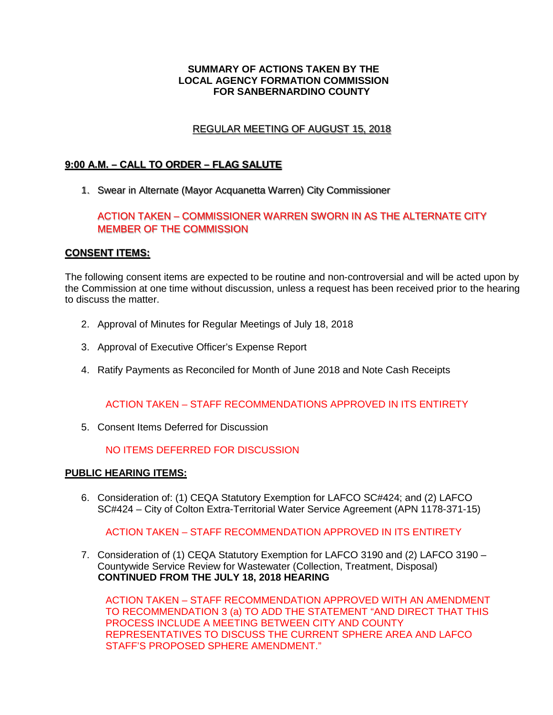#### **SUMMARY OF ACTIONS TAKEN BY THE LOCAL AGENCY FORMATION COMMISSION FOR SANBERNARDINO COUNTY**

# REGULAR MEETING OF AUGUST 15, 2018 REGULAR MEETING OF AUGUST 15 2018

# **9:00 A.M. – CALL TO ORDER – FLAG SALUTE**  9·00 A.M - CALL TO ORDER - FLAG SALUTE

1. Swear in Alternate (Mayor Acquanetta Warren) City Commissioner 1. Swear m Alternate (Mayor Acquanetta Warren} City Commissioner

# ACTION TAKEN – COMMISSIONER WARREN SWORN IN AS THE ALTERNATE CITY ACTION TAKEN - COMMISSIONER WARREN SWORN IN AS THE ALTERNATE CITY MEMBER OF THE COMMISSION MEMBER OF THE COMMISSION

## **CONSENT ITEMS: CONSENT ITEMS·**

The following consent items are expected to be routine and non-controversial and will be acted upon by the Commission at one time without discussion, unless a request has been received prior to the hearing to discuss the matter.

- 2. Approval of Minutes for Regular Meetings of July 18, 2018
- 3. Approval of Executive Officer's Expense Report
- 4. Ratify Payments as Reconciled for Month of June 2018 and Note Cash Receipts

## ACTION TAKEN – STAFF RECOMMENDATIONS APPROVED IN ITS ENTIRETY

5. Consent Items Deferred for Discussion

NO ITEMS DEFERRED FOR DISCUSSION

#### **PUBLIC HEARING ITEMS:**

6. Consideration of: (1) CEQA Statutory Exemption for LAFCO SC#424; and (2) LAFCO SC#424 – City of Colton Extra-Territorial Water Service Agreement (APN 1178-371-15)

## ACTION TAKEN – STAFF RECOMMENDATION APPROVED IN ITS ENTIRETY

7. Consideration of (1) CEQA Statutory Exemption for LAFCO 3190 and (2) LAFCO 3190 – Countywide Service Review for Wastewater (Collection, Treatment, Disposal)  **CONTINUED FROM THE JULY 18, 2018 HEARING**

ACTION TAKEN – STAFF RECOMMENDATION APPROVED WITH AN AMENDMENT TO RECOMMENDATION 3 (a) TO ADD THE STATEMENT "AND DIRECT THAT THIS PROCESS INCLUDE A MEETING BETWEEN CITY AND COUNTY REPRESENTATIVES TO DISCUSS THE CURRENT SPHERE AREA AND LAFCO STAFF'S PROPOSED SPHERE AMENDMENT."